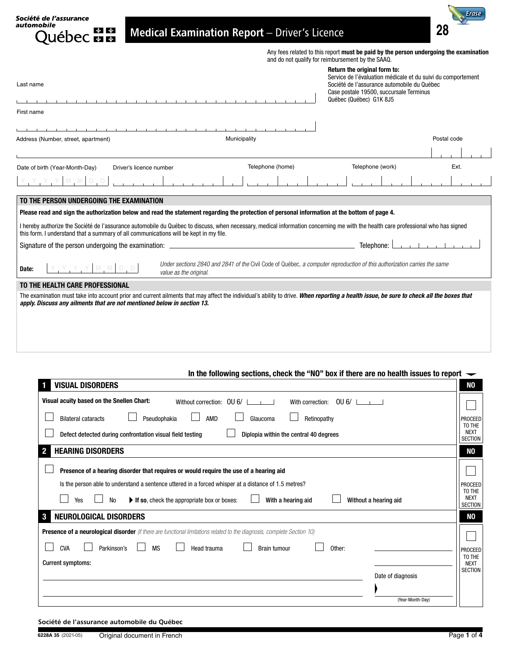| Société de l'assurance<br>automobile<br><b>Medical Examination Report</b> - Driver's Licence<br><b>uébec ma</b>                                                                                                                                                            |                  |                                                                                                                                                        |             |
|----------------------------------------------------------------------------------------------------------------------------------------------------------------------------------------------------------------------------------------------------------------------------|------------------|--------------------------------------------------------------------------------------------------------------------------------------------------------|-------------|
|                                                                                                                                                                                                                                                                            |                  | Any fees related to this report must be paid by the person undergoing the examination<br>and do not qualify for reimbursement by the SAAQ.             |             |
|                                                                                                                                                                                                                                                                            |                  | Return the original form to:                                                                                                                           |             |
| Last name                                                                                                                                                                                                                                                                  |                  | Service de l'évaluation médicale et du suivi du comportement<br>Société de l'assurance automobile du Québec<br>Case postale 19500, succursale Terminus |             |
|                                                                                                                                                                                                                                                                            |                  | Québec (Québec) G1K 8J5                                                                                                                                |             |
| First name                                                                                                                                                                                                                                                                 |                  |                                                                                                                                                        |             |
|                                                                                                                                                                                                                                                                            |                  |                                                                                                                                                        |             |
| Municipality<br>Address (Number, street, apartment)                                                                                                                                                                                                                        |                  |                                                                                                                                                        | Postal code |
|                                                                                                                                                                                                                                                                            |                  |                                                                                                                                                        |             |
| Date of birth (Year-Month-Day)<br>Driver's licence number                                                                                                                                                                                                                  | Telephone (home) | Telephone (work)                                                                                                                                       | Ext.        |
|                                                                                                                                                                                                                                                                            |                  |                                                                                                                                                        |             |
|                                                                                                                                                                                                                                                                            |                  |                                                                                                                                                        |             |
| TO THE PERSON UNDERGOING THE EXAMINATION                                                                                                                                                                                                                                   |                  |                                                                                                                                                        |             |
| Please read and sign the authorization below and read the statement regarding the protection of personal information at the bottom of page 4.                                                                                                                              |                  |                                                                                                                                                        |             |
| I hereby authorize the Société de l'assurance automobile du Québec to discuss, when necessary, medical information concerning me with the health care professional who has signed<br>this form. I understand that a summary of all communications will be kept in my file. |                  |                                                                                                                                                        |             |
|                                                                                                                                                                                                                                                                            |                  | Telephone:                                                                                                                                             |             |
| YYYMMDD<br>Date:<br>value as the original.                                                                                                                                                                                                                                 |                  | Under sections 2840 and 2841 of the Civil Code of Québec, a computer reproduction of this authorization carries the same                               |             |
| TO THE HEALTH CARE PROFESSIONAL                                                                                                                                                                                                                                            |                  |                                                                                                                                                        |             |
| The examination must take into account prior and current ailments that may affect the individual's ability to drive. When reporting a health issue, be sure to check all the boxes that<br>apply. Discuss any ailments that are not mentioned below in section 13.         |                  |                                                                                                                                                        |             |
|                                                                                                                                                                                                                                                                            |                  |                                                                                                                                                        |             |
|                                                                                                                                                                                                                                                                            |                  |                                                                                                                                                        |             |

| In the following sections, check the "NO" box if there are no health issues to report $\rightarrow$                            |                                         |
|--------------------------------------------------------------------------------------------------------------------------------|-----------------------------------------|
| <b>VISUAL DISORDERS</b><br>$\blacksquare$                                                                                      | NO                                      |
| Visual acuity based on the Snellen Chart:<br>Without correction: OU 6/<br>$0 \cup 6/$    <br>With correction:                  |                                         |
| <b>Bilateral cataracts</b><br>Pseudophakia<br>AMD<br>Glaucoma<br>Retinopathy                                                   | PROCEED<br>TO THE                       |
| Defect detected during confrontation visual field testing<br>Diplopia within the central 40 degrees                            | <b>NEXT</b><br><b>SECTION</b>           |
| <b>HEARING DISORDERS</b><br>$\overline{\mathbf{2}}$                                                                            | NΟ                                      |
| Presence of a hearing disorder that requires or would require the use of a hearing aid                                         |                                         |
| Is the person able to understand a sentence uttered in a forced whisper at a distance of 1.5 metres?                           | <b>PROCEED</b>                          |
| Yes<br><b>No</b><br>With a hearing aid<br>If so, check the appropriate box or boxes:<br>Without a hearing aid                  | TO THE<br><b>NEXT</b><br><b>SECTION</b> |
| $\mathbf{3}$<br>NEUROLOGICAL DISORDERS                                                                                         | NO                                      |
| <b>Presence of a neurological disorder</b> (if there are functional limitations related to the diagnosis, complete Section 10) |                                         |
| <b>CVA</b><br><b>MS</b><br>Parkinson's<br>Other:<br>Head trauma<br><b>Brain tumour</b>                                         | PROCEED                                 |
| <b>Current symptoms:</b>                                                                                                       | TO THE<br><b>NEXT</b>                   |
| Date of diagnosis                                                                                                              | <b>SECTION</b>                          |
|                                                                                                                                |                                         |
| (Year-Month-Day)                                                                                                               |                                         |

Société de l'assurance automobile du Québec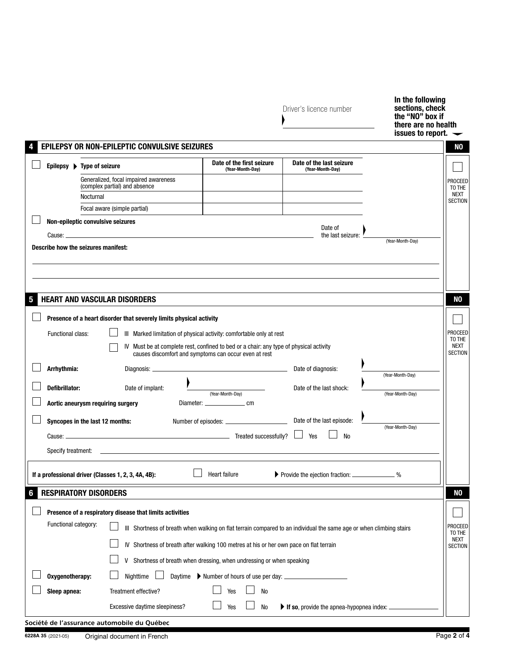|   |                       |                                                                        |                                                                                                                     | Driver's licence number                           | In the following<br>sections, check<br>the "NO" box if<br>there are no health<br>issues to report. |
|---|-----------------------|------------------------------------------------------------------------|---------------------------------------------------------------------------------------------------------------------|---------------------------------------------------|----------------------------------------------------------------------------------------------------|
|   |                       | EPILEPSY OR NON-EPILEPTIC CONVULSIVE SEIZURES                          |                                                                                                                     |                                                   | NO                                                                                                 |
|   |                       | Epilepsy ▶ Type of seizure                                             | Date of the first seizure<br>(Year-Month-Day)                                                                       | Date of the last seizure<br>(Year-Month-Day)      |                                                                                                    |
|   |                       | Generalized, focal impaired awareness<br>(complex partial) and absence |                                                                                                                     |                                                   | <b>PROCEED</b><br>TO THE                                                                           |
|   |                       | Nocturnal                                                              |                                                                                                                     |                                                   | NEXT<br><b>SECTION</b>                                                                             |
|   |                       | Focal aware (simple partial)                                           |                                                                                                                     |                                                   |                                                                                                    |
|   |                       | Non-epileptic convulsive seizures                                      |                                                                                                                     | Date of                                           |                                                                                                    |
|   |                       | Describe how the seizures manifest:                                    |                                                                                                                     | the last seizure:                                 | (Year-Month-Day)                                                                                   |
|   |                       |                                                                        |                                                                                                                     |                                                   |                                                                                                    |
|   |                       |                                                                        |                                                                                                                     |                                                   |                                                                                                    |
|   |                       |                                                                        |                                                                                                                     |                                                   |                                                                                                    |
| 5 |                       | <b>HEART AND VASCULAR DISORDERS</b>                                    |                                                                                                                     |                                                   | NO                                                                                                 |
|   |                       |                                                                        |                                                                                                                     |                                                   |                                                                                                    |
|   |                       | Presence of a heart disorder that severely limits physical activity    |                                                                                                                     |                                                   |                                                                                                    |
|   | Functional class:     |                                                                        | III Marked limitation of physical activity: comfortable only at rest                                                |                                                   | PROCEED                                                                                            |
|   |                       |                                                                        | IV Must be at complete rest, confined to bed or a chair: any type of physical activity                              |                                                   | TO THE<br><b>NEXT</b>                                                                              |
|   |                       |                                                                        | causes discomfort and symptoms can occur even at rest                                                               |                                                   | <b>SECTION</b>                                                                                     |
|   | Arrhythmia:           |                                                                        |                                                                                                                     | Date of diagnosis:                                | (Year-Month-Day)                                                                                   |
|   | <b>Defibrillator:</b> | Date of implant:                                                       |                                                                                                                     | Date of the last shock:                           |                                                                                                    |
|   |                       |                                                                        | (Year-Month-Day)                                                                                                    |                                                   | (Year-Month-Day)                                                                                   |
|   |                       | Aortic aneurysm requiring surgery                                      | Diameter: _______________________ cm                                                                                |                                                   |                                                                                                    |
|   |                       | Syncopes in the last 12 months:                                        |                                                                                                                     |                                                   |                                                                                                    |
|   | Cause: ______         | Treated successfully?                                                  |                                                                                                                     | Yes<br>No                                         | (Year-Month-Day)                                                                                   |
|   | Specify treatment:    |                                                                        |                                                                                                                     |                                                   |                                                                                                    |
|   |                       |                                                                        |                                                                                                                     |                                                   |                                                                                                    |
|   |                       | If a professional driver (Classes 1, 2, 3, 4A, 4B):                    | Heart failure                                                                                                       |                                                   | $\%$                                                                                               |
|   |                       |                                                                        |                                                                                                                     |                                                   |                                                                                                    |
| 6 |                       | <b>RESPIRATORY DISORDERS</b>                                           |                                                                                                                     |                                                   | NO                                                                                                 |
|   |                       | Presence of a respiratory disease that limits activities               |                                                                                                                     |                                                   |                                                                                                    |
|   | Functional category:  |                                                                        | III Shortness of breath when walking on flat terrain compared to an individual the same age or when climbing stairs |                                                   | PROCEED                                                                                            |
|   |                       |                                                                        | IV Shortness of breath after walking 100 metres at his or her own pace on flat terrain                              |                                                   | TO THE<br>NEXT<br><b>SECTION</b>                                                                   |
|   |                       | V                                                                      | Shortness of breath when dressing, when undressing or when speaking                                                 |                                                   |                                                                                                    |
|   | Oxygenotherapy:       | Nighttime                                                              |                                                                                                                     |                                                   |                                                                                                    |
|   | Sleep apnea:          | Treatment effective?                                                   | Yes<br><b>No</b>                                                                                                    |                                                   |                                                                                                    |
|   |                       |                                                                        |                                                                                                                     |                                                   |                                                                                                    |
|   |                       | Excessive daytime sleepiness?                                          | No<br>Yes                                                                                                           | If so, provide the apnea-hypopnea index: $\equiv$ |                                                                                                    |
|   |                       | Société de l'assurance automobile du Québec                            |                                                                                                                     |                                                   |                                                                                                    |

| 6228A 35 (2021-05) | French<br>Original document in ! | י הכי<br>.<br><br>'au<br>. |
|--------------------|----------------------------------|----------------------------|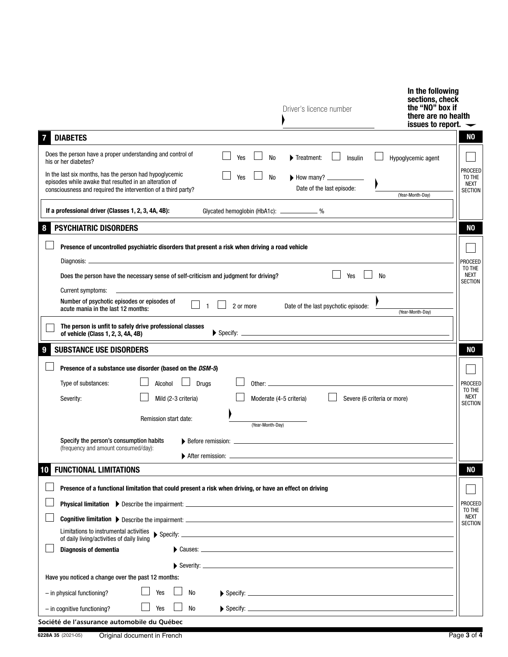|                                                                                                                                                                                           | Driver's licence number                                      | In the following<br>sections, check<br>the "NO" box if<br>there are no health<br>issues to report. |
|-------------------------------------------------------------------------------------------------------------------------------------------------------------------------------------------|--------------------------------------------------------------|----------------------------------------------------------------------------------------------------|
| <b>DIABETES</b>                                                                                                                                                                           |                                                              | N <sub>0</sub>                                                                                     |
| Does the person have a proper understanding and control of<br>Yes<br>his or her diabetes?                                                                                                 | <b>No</b><br>Treatment:<br>Insulin                           | Hypoglycemic agent                                                                                 |
| In the last six months, has the person had hypoglycemic<br>Yes<br>episodes while awake that resulted in an alteration of<br>consciousness and required the intervention of a third party? | No<br>Date of the last episode:                              | PROCEED<br>TO THE<br>NEXT<br><b>SECTION</b><br>(Year-Month-Day)                                    |
| If a professional driver (Classes 1, 2, 3, 4A, 4B):                                                                                                                                       | Glycated hemoglobin (HbA1c): ______________%                 |                                                                                                    |
| <b>PSYCHIATRIC DISORDERS</b><br>8                                                                                                                                                         |                                                              | NO                                                                                                 |
| Presence of uncontrolled psychiatric disorders that present a risk when driving a road vehicle                                                                                            |                                                              |                                                                                                    |
|                                                                                                                                                                                           |                                                              | <b>PROCEED</b>                                                                                     |
| Does the person have the necessary sense of self-criticism and judgment for driving?                                                                                                      | Yes                                                          | TO THE<br>NEXT<br><b>No</b><br><b>SECTION</b>                                                      |
| Current symptoms:                                                                                                                                                                         |                                                              |                                                                                                    |
| Number of psychotic episodes or episodes of<br>2 or more<br>$\overline{1}$<br>acute mania in the last 12 months:                                                                          | Date of the last psychotic episode:                          | (Year-Month-Day)                                                                                   |
| The person is unfit to safely drive professional classes<br>of vehicle (Class 1, 2, 3, 4A, 4B)                                                                                            |                                                              |                                                                                                    |
| <b>SUBSTANCE USE DISORDERS</b><br>9                                                                                                                                                       |                                                              | N <sub>0</sub>                                                                                     |
| Presence of a substance use disorder (based on the DSM-5)                                                                                                                                 |                                                              |                                                                                                    |
| <b>Drugs</b><br>Type of substances:<br>Alcohol                                                                                                                                            |                                                              | <b>PROCEED</b>                                                                                     |
| Mild (2-3 criteria)<br>Severity:                                                                                                                                                          | Moderate (4-5 criteria)<br>Severe (6 criteria or more)       | TO THE<br><b>NEXT</b>                                                                              |
| Remission start date:                                                                                                                                                                     | (Year-Month-Day)                                             | <b>SECTION</b>                                                                                     |
| Specify the person's consumption habits                                                                                                                                                   | $\triangleright$ Before remission: $\perp$ Before remission: |                                                                                                    |
| (frequency and amount consumed/day):<br>After remission:                                                                                                                                  |                                                              |                                                                                                    |
| <b>FUNCTIONAL LIMITATIONS</b><br>10                                                                                                                                                       |                                                              | N <sub>0</sub>                                                                                     |
| Presence of a functional limitation that could present a risk when driving, or have an effect on driving                                                                                  |                                                              |                                                                                                    |
|                                                                                                                                                                                           |                                                              | <b>PROCEED</b>                                                                                     |
|                                                                                                                                                                                           |                                                              | TO THE<br>NEXT<br><b>SECTION</b>                                                                   |
| Limitations to instrumental activities<br>of daily living/activities of daily living                                                                                                      | $\triangleright$ Specify:                                    |                                                                                                    |
| <b>Diagnosis of dementia</b>                                                                                                                                                              |                                                              |                                                                                                    |
|                                                                                                                                                                                           | Severity: $\frac{1}{2}$ Severity:                            |                                                                                                    |
| Have you noticed a change over the past 12 months:                                                                                                                                        |                                                              |                                                                                                    |
| Yes<br>No<br>- in physical functioning?                                                                                                                                                   |                                                              |                                                                                                    |
| - in cognitive functioning?<br><b>No</b><br>Yes                                                                                                                                           |                                                              |                                                                                                    |
| Société de l'assurance automobile du Québec                                                                                                                                               |                                                              |                                                                                                    |